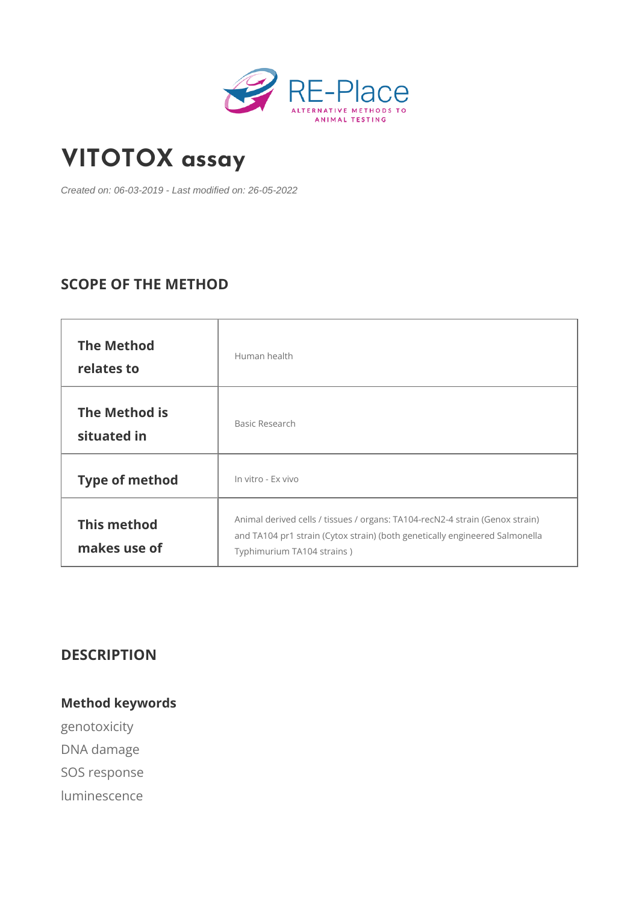# [VITOTOX a](https://re-place.be/method/vitotox-assay)ssay

Created on: 06-03-2019 - Last modified on: 26-05-2022

# SCOPE OF THE METHOD

| The Method<br>relates to     | Human health                                                                                                                                                             |  |
|------------------------------|--------------------------------------------------------------------------------------------------------------------------------------------------------------------------|--|
| The Method is<br>situated in | Basic Research                                                                                                                                                           |  |
| Type of method               | In vitro - Ex vivo                                                                                                                                                       |  |
| This method<br>makes use of  | Animal derived cells / tissues / organs: TA104-recN2-4 strain (G<br>and TA104 pr1 strain (Cytox strain) (both genetically $\phi$ ngineered<br>Typhimurium TA104 strains) |  |

DESCRIPTION

Method keywords genotoxicity DNA damage SOS response luminescence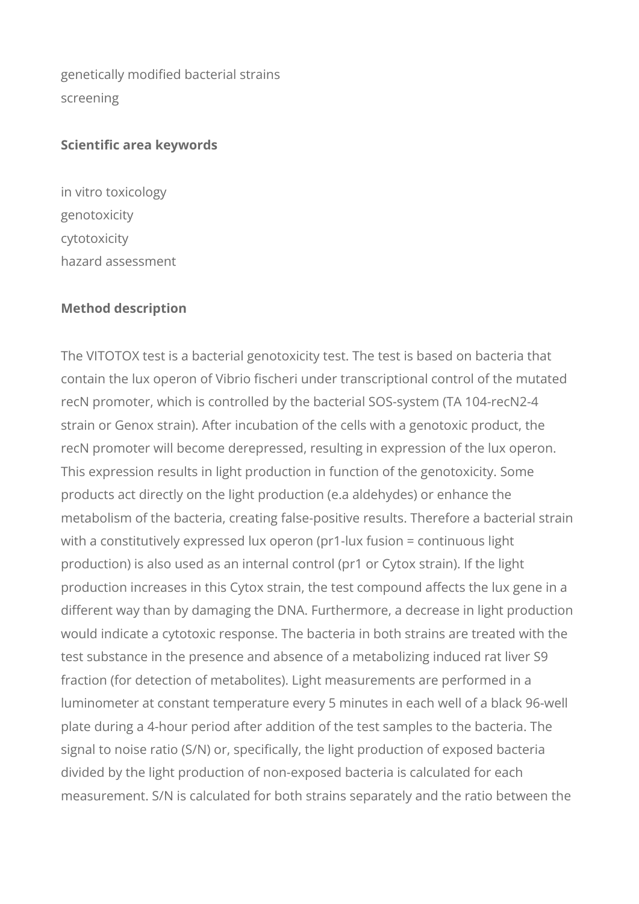genetically modified bacterial strains screening

#### **Scientific area keywords**

in vitro toxicology genotoxicity cytotoxicity hazard assessment

#### **Method description**

The VITOTOX test is a bacterial genotoxicity test. The test is based on bacteria that contain the lux operon of Vibrio fischeri under transcriptional control of the mutated recN promoter, which is controlled by the bacterial SOS-system (TA 104-recN2-4 strain or Genox strain). After incubation of the cells with a genotoxic product, the recN promoter will become derepressed, resulting in expression of the lux operon. This expression results in light production in function of the genotoxicity. Some products act directly on the light production (e.a aldehydes) or enhance the metabolism of the bacteria, creating false-positive results. Therefore a bacterial strain with a constitutively expressed lux operon (pr1-lux fusion = continuous light production) is also used as an internal control (pr1 or Cytox strain). If the light production increases in this Cytox strain, the test compound affects the lux gene in a different way than by damaging the DNA. Furthermore, a decrease in light production would indicate a cytotoxic response. The bacteria in both strains are treated with the test substance in the presence and absence of a metabolizing induced rat liver S9 fraction (for detection of metabolites). Light measurements are performed in a luminometer at constant temperature every 5 minutes in each well of a black 96-well plate during a 4-hour period after addition of the test samples to the bacteria. The signal to noise ratio (S/N) or, specifically, the light production of exposed bacteria divided by the light production of non-exposed bacteria is calculated for each measurement. S/N is calculated for both strains separately and the ratio between the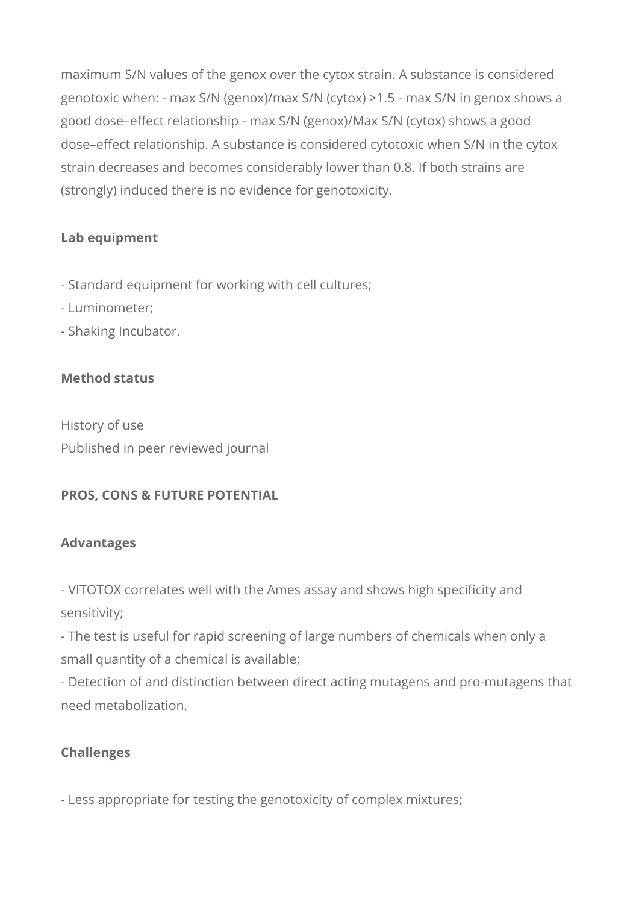maximum S/N values of the genox over the cytox strain. A substance is considered genotoxic when: - max S/N (genox)/max S/N (cytox) >1.5 - max S/N in genox shows a good dose–effect relationship - max S/N (genox)/Max S/N (cytox) shows a good dose–effect relationship. A substance is considered cytotoxic when S/N in the cytox strain decreases and becomes considerably lower than 0.8. If both strains are (strongly) induced there is no evidence for genotoxicity.

# **Lab equipment**

- Standard equipment for working with cell cultures;
- Luminometer;
- Shaking Incubator.

## **Method status**

History of use Published in peer reviewed journal

## **PROS, CONS & FUTURE POTENTIAL**

## **Advantages**

- VITOTOX correlates well with the Ames assay and shows high specificity and sensitivity;

- The test is useful for rapid screening of large numbers of chemicals when only a small quantity of a chemical is available;

- Detection of and distinction between direct acting mutagens and pro-mutagens that need metabolization.

## **Challenges**

- Less appropriate for testing the genotoxicity of complex mixtures;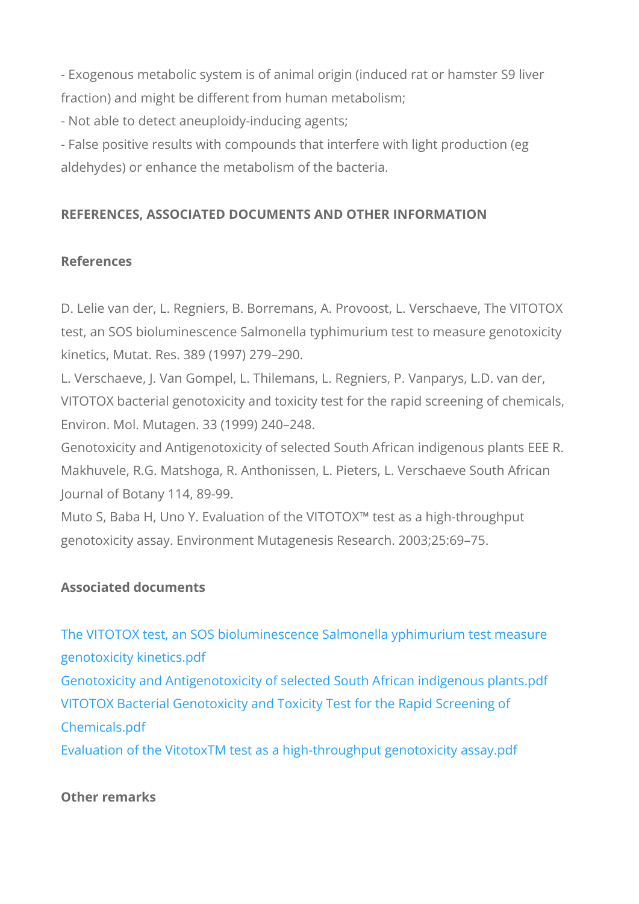- Exogenous metabolic system is of animal origin (induced rat fraction) and might be different from human metabolism;

- Not able to detect aneuploidy-inducing agents;

- False positive results with compounds that interfere with light aldehydes) or enhance the metabolism of the bacteria.

REFERENCES, ASSOCIATED DOCUMENTS AND OTHER INFORM

References

D. Lelie van der, L. Regniers, B. Borremans, A. Provoost, L. V test, an SOS bioluminescence Salmonella typhimurium test to r kinetics, Mutat. Res. 389 (1997) 279 290.

L. Verschaeve, J. Van Gompel, L. Thilemans, L. Regniers, P. V VITOTOX bacterial genotoxicity and toxicity test for the rapid Environ. Mol. Mutagen. 33 (1999) 240 248.

Genotoxicity and Antigenotoxicity of selected South African ind Makhuvele, R.G. Matshoga, R. Anthonissen, L. Pieters, L. Vers Journal of Botany 114, 89-99.

Muto S, Baba H, Uno Y. Evaluation of the VITOTOX!" test as a genotoxicity assay. Environment Mutagenesis Research. 2003;2

Associated documents

[The VITOTOX test, an SOS bioluminescence Salmonel](https://re-place.be/sites/default/files/The VITOTOX test, an SOS bioluminescence Salmonella yphimurium test measure genotoxicity kinetics.pdf)la yphimu [genotoxicity kin](https://re-place.be/sites/default/files/The VITOTOX test, an SOS bioluminescence Salmonella yphimurium test measure genotoxicity kinetics.pdf)etics.pdf

[Genotoxicity and Antigenotoxicity of selected South A](https://re-place.be/sites/default/files/Genotoxicity and Antigenotoxicity of selected South African indigenous plants.pdf)frican ind [VITOTOX Bacterial Genotoxicity and Toxicity Tes](https://re-place.be/sites/default/files/VITOTOX Bacterial Genotoxicity and Toxicity Test for the Rapid Screening of Chemicals.pdf)t for the Rapi [Chemical](https://re-place.be/sites/default/files/VITOTOX Bacterial Genotoxicity and Toxicity Test for the Rapid Screening of Chemicals.pdf)s.pdf

[Evaluation of the VitotoxTM test as a high-throug](https://re-place.be/sites/default/files/Evaluation of the VitotoxTM test as a high-throughput genotoxicity assay.pdf)hput genotoxi

Other remarks